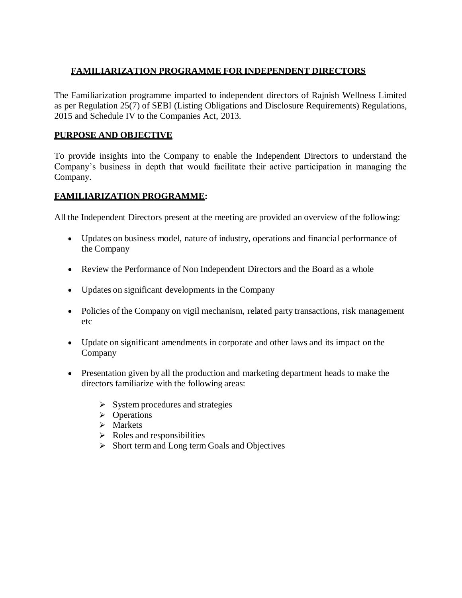## **FAMILIARIZATION PROGRAMME FOR INDEPENDENT DIRECTORS**

The Familiarization programme imparted to independent directors of Rajnish Wellness Limited as per Regulation 25(7) of SEBI (Listing Obligations and Disclosure Requirements) Regulations, 2015 and Schedule IV to the Companies Act, 2013.

## **PURPOSE AND OBJECTIVE**

To provide insights into the Company to enable the Independent Directors to understand the Company's business in depth that would facilitate their active participation in managing the Company.

## **FAMILIARIZATION PROGRAMME:**

All the Independent Directors present at the meeting are provided an overview of the following:

- Updates on business model, nature of industry, operations and financial performance of the Company
- Review the Performance of Non Independent Directors and the Board as a whole
- Updates on significant developments in the Company
- Policies of the Company on vigil mechanism, related party transactions, risk management etc
- Update on significant amendments in corporate and other laws and its impact on the Company
- Presentation given by all the production and marketing department heads to make the directors familiarize with the following areas:
	- $\triangleright$  System procedures and strategies
	- > Operations
	- $\triangleright$  Markets
	- $\triangleright$  Roles and responsibilities
	- $\triangleright$  Short term and Long term Goals and Objectives